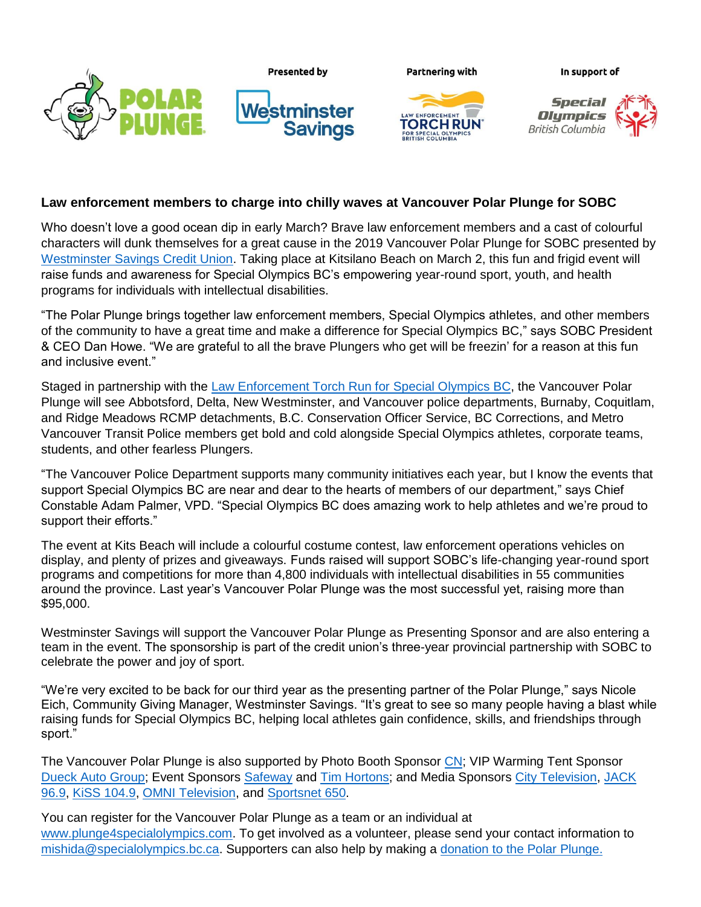



**Partnering with** 

**RCH RUN** 

In support of



## **Law enforcement members to charge into chilly waves at Vancouver Polar Plunge for SOBC**

**Savings** 

Who doesn't love a good ocean dip in early March? Brave law enforcement members and a cast of colourful characters will dunk themselves for a great cause in the 2019 Vancouver Polar Plunge for SOBC presented by [Westminster Savings Credit Union.](https://www.wscu.com/Personal/) Taking place at Kitsilano Beach on March 2, this fun and frigid event will raise funds and awareness for Special Olympics BC's empowering year-round sport, youth, and health programs for individuals with intellectual disabilities.

"The Polar Plunge brings together law enforcement members, Special Olympics athletes, and other members of the community to have a great time and make a difference for Special Olympics BC," says SOBC President & CEO Dan Howe. "We are grateful to all the brave Plungers who get will be freezin' for a reason at this fun and inclusive event."

Staged in partnership with the [Law Enforcement Torch Run for Special Olympics BC,](https://www.specialolympics.ca/british-columbia/ways-give/law-enforcement-torch-run) the Vancouver Polar Plunge will see Abbotsford, Delta, New Westminster, and Vancouver police departments, Burnaby, Coquitlam, and Ridge Meadows RCMP detachments, B.C. Conservation Officer Service, BC Corrections, and Metro Vancouver Transit Police members get bold and cold alongside Special Olympics athletes, corporate teams, students, and other fearless Plungers.

"The Vancouver Police Department supports many community initiatives each year, but I know the events that support Special Olympics BC are near and dear to the hearts of members of our department," says Chief Constable Adam Palmer, VPD. "Special Olympics BC does amazing work to help athletes and we're proud to support their efforts."

The event at Kits Beach will include a colourful costume contest, law enforcement operations vehicles on display, and plenty of prizes and giveaways. Funds raised will support SOBC's life-changing year-round sport programs and competitions for more than 4,800 individuals with intellectual disabilities in 55 communities around the province. Last year's Vancouver Polar Plunge was the most successful yet, raising more than \$95,000.

Westminster Savings will support the Vancouver Polar Plunge as Presenting Sponsor and are also entering a team in the event. The sponsorship is part of the credit union's three-year provincial partnership with SOBC to celebrate the power and joy of sport.

"We're very excited to be back for our third year as the presenting partner of the Polar Plunge," says Nicole Eich, Community Giving Manager, Westminster Savings. "It's great to see so many people having a blast while raising funds for Special Olympics BC, helping local athletes gain confidence, skills, and friendships through sport."

The Vancouver Polar Plunge is also supported by Photo Booth Sponsor [CN;](https://www.cn.ca/en/) VIP Warming Tent Sponsor [Dueck Auto Group;](https://www.dueckgm.com/) Event Sponsors [Safeway](https://www.safeway.ca/) and [Tim Hortons;](https://www.timhortons.com/ca/en/index.php) and Media Sponsors [City Television,](https://www.btvancouver.ca/) [JACK](https://www.jack969.com/)  [96.9,](https://www.jack969.com/) [KiSS 104.9,](https://www.kissradio.ca/) [OMNI Television,](https://www.omnitv.ca/bc/en/) and [Sportsnet 650.](https://www.sportsnet.ca/650/)

You can register for the Vancouver Polar Plunge as a team or an individual at [www.plunge4specialolympics.com.](https://secure.e2rm.com/registrant/EventHome.aspx?eventid=250412&langpref=en-CA&Referrer=direct%2fnone) To get involved as a volunteer, please send your contact information to [mishida@specialolympics.bc.ca.](mailto:mishida@specialolympics.bc.ca) Supporters can also help by making a [donation to the Polar Plunge.](https://secure.e2rm.com/registrant/donate.aspx?eventid=250412&langpref=en-CA&Referrer=direct%2fnone)